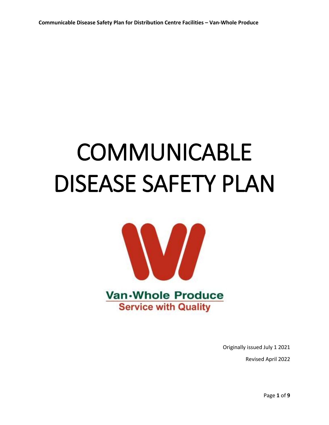# **COMMUNICABLE** DISEASE SAFETY PLAN



Originally issued July 1 2021

Revised April 2022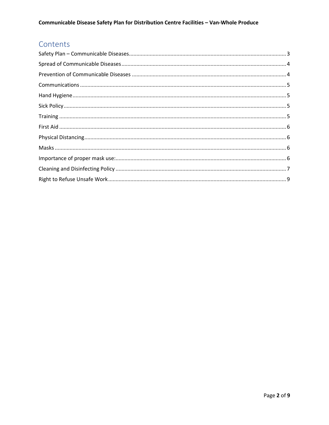# Contents

<span id="page-1-0"></span>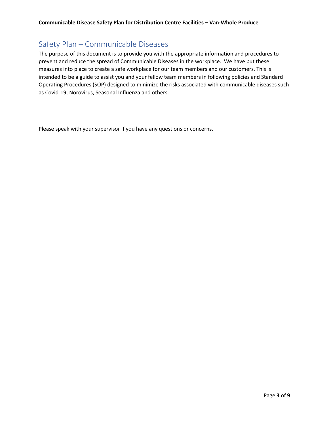# Safety Plan – Communicable Diseases

The purpose of this document is to provide you with the appropriate information and procedures to prevent and reduce the spread of Communicable Diseases in the workplace. We have put these measures into place to create a safe workplace for our team members and our customers. This is intended to be a guide to assist you and your fellow team members in following policies and Standard Operating Procedures (SOP) designed to minimize the risks associated with communicable diseases such as Covid-19, Norovirus, Seasonal Influenza and others.

<span id="page-2-0"></span>Please speak with your supervisor if you have any questions or concerns.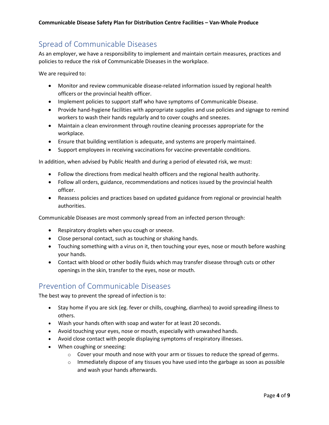# Spread of Communicable Diseases

As an employer, we have a responsibility to implement and maintain certain measures, practices and policies to reduce the risk of Communicable Diseases in the workplace.

We are required to:

- Monitor and review communicable disease-related information issued by regional health officers or the provincial health officer.
- Implement policies to support staff who have symptoms of Communicable Disease.
- Provide hand-hygiene facilities with appropriate supplies and use policies and signage to remind workers to wash their hands regularly and to cover coughs and sneezes.
- Maintain a clean environment through routine cleaning processes appropriate for the workplace.
- Ensure that building ventilation is adequate, and systems are properly maintained.
- Support employees in receiving vaccinations for vaccine-preventable conditions.

In addition, when advised by Public Health and during a period of elevated risk, we must:

- Follow the directions from medical health officers and the regional health authority.
- Follow all orders, guidance, recommendations and notices issued by the provincial health officer.
- Reassess policies and practices based on updated guidance from regional or provincial health authorities.

Communicable Diseases are most commonly spread from an infected person through:

- Respiratory droplets when you cough or sneeze.
- Close personal contact, such as touching or shaking hands.
- Touching something with a virus on it, then touching your eyes, nose or mouth before washing your hands.
- Contact with blood or other bodily fluids which may transfer disease through cuts or other openings in the skin, transfer to the eyes, nose or mouth.

## <span id="page-3-0"></span>Prevention of Communicable Diseases

The best way to prevent the spread of infection is to:

- Stay home if you are sick (eg. fever or chills, coughing, diarrhea) to avoid spreading illness to others.
- Wash your hands often with soap and water for at least 20 seconds.
- Avoid touching your eyes, nose or mouth, especially with unwashed hands.
- Avoid close contact with people displaying symptoms of respiratory illnesses.
- When coughing or sneezing:
	- $\circ$  Cover your mouth and nose with your arm or tissues to reduce the spread of germs.
	- $\circ$  Immediately dispose of any tissues you have used into the garbage as soon as possible and wash your hands afterwards.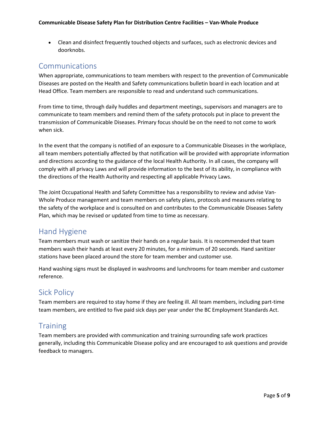• Clean and disinfect frequently touched objects and surfaces, such as electronic devices and doorknobs.

## <span id="page-4-0"></span>Communications

When appropriate, communications to team members with respect to the prevention of Communicable Diseases are posted on the Health and Safety communications bulletin board in each location and at Head Office. Team members are responsible to read and understand such communications.

From time to time, through daily huddles and department meetings, supervisors and managers are to communicate to team members and remind them of the safety protocols put in place to prevent the transmission of Communicable Diseases. Primary focus should be on the need to not come to work when sick.

In the event that the company is notified of an exposure to a Communicable Diseases in the workplace, all team members potentially affected by that notification will be provided with appropriate information and directions according to the guidance of the local Health Authority. In all cases, the company will comply with all privacy Laws and will provide information to the best of its ability, in compliance with the directions of the Health Authority and respecting all applicable Privacy Laws.

The Joint Occupational Health and Safety Committee has a responsibility to review and advise Van-Whole Produce management and team members on safety plans, protocols and measures relating to the safety of the workplace and is consulted on and contributes to the Communicable Diseases Safety Plan, which may be revised or updated from time to time as necessary.

## <span id="page-4-1"></span>Hand Hygiene

Team members must wash or sanitize their hands on a regular basis. It is recommended that team members wash their hands at least every 20 minutes, for a minimum of 20 seconds. Hand sanitizer stations have been placed around the store for team member and customer use.

Hand washing signs must be displayed in washrooms and lunchrooms for team member and customer reference.

# <span id="page-4-2"></span>Sick Policy

Team members are required to stay home if they are feeling ill. All team members, including part-time team members, are entitled to five paid sick days per year under the BC Employment Standards Act.

## <span id="page-4-3"></span>**Training**

Team members are provided with communication and training surrounding safe work practices generally, including this Communicable Disease policy and are encouraged to ask questions and provide feedback to managers.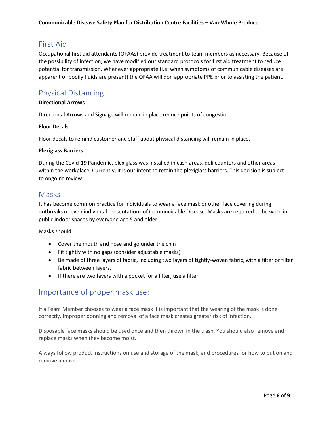## <span id="page-5-0"></span>First Aid

Occupational first aid attendants (OFAAs) provide treatment to team members as necessary. Because of the possibility of infection, we have modified our standard protocols for first aid treatment to reduce potential for transmission. Whenever appropriate (i.e. when symptoms of communicable diseases are apparent or bodily fluids are present) the OFAA will don appropriate PPE prior to assisting the patient.

## <span id="page-5-1"></span>Physical Distancing

#### **Directional Arrows**

Directional Arrows and Signage will remain in place reduce points of congestion.

#### **Floor Decals**

Floor decals to remind customer and staff about physical distancing will remain in place.

#### **Plexiglass Barriers**

During the Covid-19 Pandemic, plexiglass was installed in cash areas, deli counters and other areas within the workplace. Currently, it is our intent to retain the plexiglass barriers. This decision is subject to ongoing review.

### <span id="page-5-2"></span>Masks

It has become common practice for individuals to wear a face mask or other face covering during outbreaks or even individual presentations of Communicable Disease. Masks are required to be worn in public indoor spaces by everyone age 5 and older.

Masks should:

- Cover the mouth and nose and go under the chin
- Fit tightly with no gaps (consider adjustable masks)
- Be made of three layers of fabric, including two layers of tightly-woven fabric, with a filter or filter fabric between layers.
- If there are two layers with a pocket for a filter, use a filter

## <span id="page-5-3"></span>Importance of proper mask use:

If a Team Member chooses to wear a face mask it is important that the wearing of the mask is done correctly. Improper donning and removal of a face mask creates greater risk of infection.

Disposable face masks should be used once and then thrown in the trash. You should also remove and replace masks when they become moist.

Always follow product instructions on use and storage of the mask, and procedures for how to put on and remove a mask.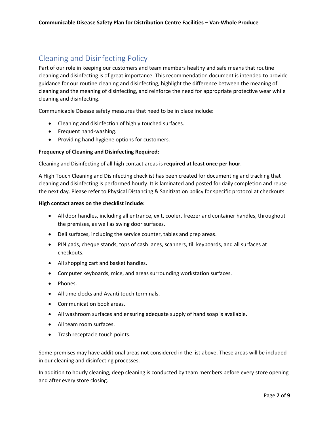# <span id="page-6-0"></span>Cleaning and Disinfecting Policy

Part of our role in keeping our customers and team members healthy and safe means that routine cleaning and disinfecting is of great importance. This recommendation document is intended to provide guidance for our routine cleaning and disinfecting, highlight the difference between the meaning of cleaning and the meaning of disinfecting, and reinforce the need for appropriate protective wear while cleaning and disinfecting.

Communicable Disease safety measures that need to be in place include:

- Cleaning and disinfection of highly touched surfaces.
- Frequent hand-washing.
- Providing hand hygiene options for customers.

#### **Frequency of Cleaning and Disinfecting Required:**

#### Cleaning and Disinfecting of all high contact areas is **required at least once per hour**.

A High Touch Cleaning and Disinfecting checklist has been created for documenting and tracking that cleaning and disinfecting is performed hourly. It is laminated and posted for daily completion and reuse the next day. Please refer to Physical Distancing & Sanitization policy for specific protocol at checkouts.

#### **High contact areas on the checklist include:**

- All door handles, including all entrance, exit, cooler, freezer and container handles, throughout the premises, as well as swing door surfaces.
- Deli surfaces, including the service counter, tables and prep areas.
- PIN pads, cheque stands, tops of cash lanes, scanners, till keyboards, and all surfaces at checkouts.
- All shopping cart and basket handles.
- Computer keyboards, mice, and areas surrounding workstation surfaces.
- Phones.
- All time clocks and Avanti touch terminals.
- Communication book areas.
- All washroom surfaces and ensuring adequate supply of hand soap is available.
- All team room surfaces.
- Trash receptacle touch points.

Some premises may have additional areas not considered in the list above. These areas will be included in our cleaning and disinfecting processes.

In addition to hourly cleaning, deep cleaning is conducted by team members before every store opening and after every store closing.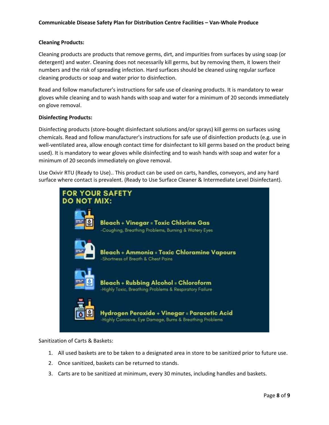#### **Cleaning Products:**

Cleaning products are products that remove germs, dirt, and impurities from surfaces by using soap (or detergent) and water. Cleaning does not necessarily kill germs, but by removing them, it lowers their numbers and the risk of spreading infection. Hard surfaces should be cleaned using regular surface cleaning products or soap and water prior to disinfection.

Read and follow manufacturer's instructions for safe use of cleaning products. It is mandatory to wear gloves while cleaning and to wash hands with soap and water for a minimum of 20 seconds immediately on glove removal.

#### **Disinfecting Products:**

Disinfecting products (store-bought disinfectant solutions and/or sprays) kill germs on surfaces using chemicals. Read and follow manufacturer's instructions for safe use of disinfection products (e.g. use in well-ventilated area, allow enough contact time for disinfectant to kill germs based on the product being used). It is mandatory to wear gloves while disinfecting and to wash hands with soap and water for a minimum of 20 seconds immediately on glove removal.

Use Oxivir RTU (Ready to Use).. This product can be used on carts, handles, conveyors, and any hard surface where contact is prevalent. (Ready to Use Surface Cleaner & Intermediate Level Disinfectant).



Sanitization of Carts & Baskets:

- 1. All used baskets are to be taken to a designated area in store to be sanitized prior to future use.
- 2. Once sanitized, baskets can be returned to stands.
- 3. Carts are to be sanitized at minimum, every 30 minutes, including handles and baskets.